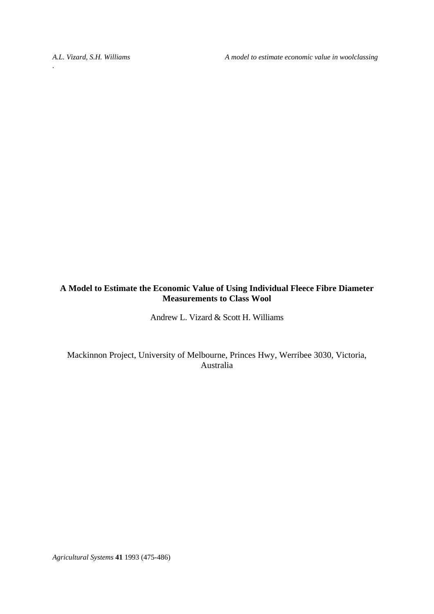*A.L. Vizard, S.H. Williams A model to estimate economic value in woolclassing* 

# **A Model to Estimate the Economic Value of Using Individual Fleece Fibre Diameter Measurements to Class Wool**

Andrew L. Vizard & Scott H. Williams

Mackinnon Project, University of Melbourne, Princes Hwy, Werribee 3030, Victoria, Australia

*Agricultural Systems* **41** 1993 (475-486)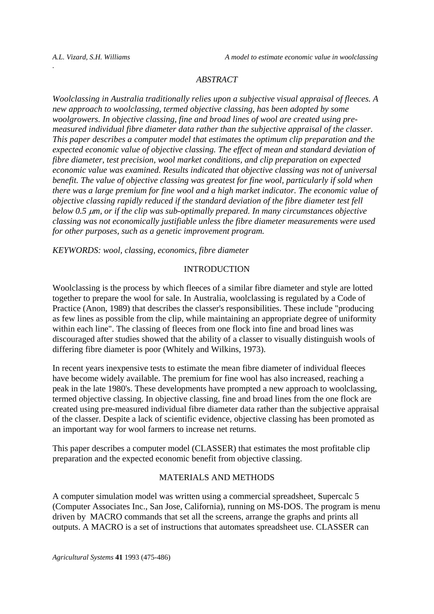#### *ABSTRACT*

*Woolclassing in Australia traditionally relies upon a subjective visual appraisal of fleeces. A new approach to woolclassing, termed objective classing, has been adopted by some woolgrowers. In objective classing, fine and broad lines of wool are created using premeasured individual fibre diameter data rather than the subjective appraisal of the classer. This paper describes a computer model that estimates the optimum clip preparation and the expected economic value of objective classing. The effect of mean and standard deviation of fibre diameter, test precision, wool market conditions, and clip preparation on expected economic value was examined. Results indicated that objective classing was not of universal benefit. The value of objective classing was greatest for fine wool, particularly if sold when there was a large premium for fine wool and a high market indicator. The economic value of objective classing rapidly reduced if the standard deviation of the fibre diameter test fell below 0.5* μ*m, or if the clip was sub-optimally prepared. In many circumstances objective classing was not economically justifiable unless the fibre diameter measurements were used for other purposes, such as a genetic improvement program.* 

*KEYWORDS: wool, classing, economics, fibre diameter* 

## INTRODUCTION

Woolclassing is the process by which fleeces of a similar fibre diameter and style are lotted together to prepare the wool for sale. In Australia, woolclassing is regulated by a Code of Practice (Anon, 1989) that describes the classer's responsibilities. These include "producing as few lines as possible from the clip, while maintaining an appropriate degree of uniformity within each line". The classing of fleeces from one flock into fine and broad lines was discouraged after studies showed that the ability of a classer to visually distinguish wools of differing fibre diameter is poor (Whitely and Wilkins, 1973).

In recent years inexpensive tests to estimate the mean fibre diameter of individual fleeces have become widely available. The premium for fine wool has also increased, reaching a peak in the late 1980's. These developments have prompted a new approach to woolclassing, termed objective classing. In objective classing, fine and broad lines from the one flock are created using pre-measured individual fibre diameter data rather than the subjective appraisal of the classer. Despite a lack of scientific evidence, objective classing has been promoted as an important way for wool farmers to increase net returns.

This paper describes a computer model (CLASSER) that estimates the most profitable clip preparation and the expected economic benefit from objective classing.

### MATERIALS AND METHODS

A computer simulation model was written using a commercial spreadsheet, Supercalc 5 (Computer Associates Inc., San Jose, California), running on MS-DOS. The program is menu driven by MACRO commands that set all the screens, arrange the graphs and prints all outputs. A MACRO is a set of instructions that automates spreadsheet use. CLASSER can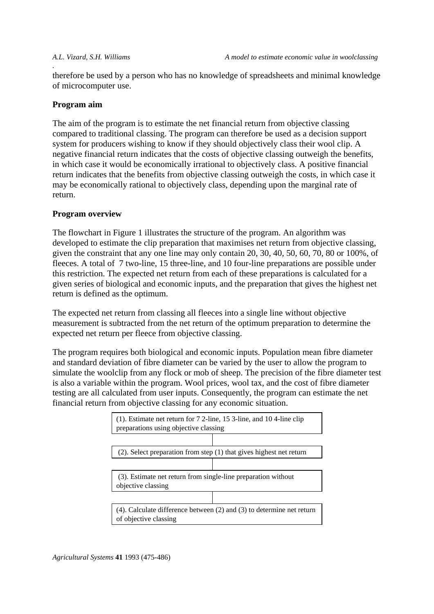therefore be used by a person who has no knowledge of spreadsheets and minimal knowledge of microcomputer use.

## **Program aim**

*.* 

The aim of the program is to estimate the net financial return from objective classing compared to traditional classing. The program can therefore be used as a decision support system for producers wishing to know if they should objectively class their wool clip. A negative financial return indicates that the costs of objective classing outweigh the benefits, in which case it would be economically irrational to objectively class. A positive financial return indicates that the benefits from objective classing outweigh the costs, in which case it may be economically rational to objectively class, depending upon the marginal rate of return.

## **Program overview**

The flowchart in Figure 1 illustrates the structure of the program. An algorithm was developed to estimate the clip preparation that maximises net return from objective classing, given the constraint that any one line may only contain 20, 30, 40, 50, 60, 70, 80 or 100%, of fleeces. A total of 7 two-line, 15 three-line, and 10 four-line preparations are possible under this restriction. The expected net return from each of these preparations is calculated for a given series of biological and economic inputs, and the preparation that gives the highest net return is defined as the optimum.

The expected net return from classing all fleeces into a single line without objective measurement is subtracted from the net return of the optimum preparation to determine the expected net return per fleece from objective classing.

The program requires both biological and economic inputs. Population mean fibre diameter and standard deviation of fibre diameter can be varied by the user to allow the program to simulate the woolclip from any flock or mob of sheep. The precision of the fibre diameter test is also a variable within the program. Wool prices, wool tax, and the cost of fibre diameter testing are all calculated from user inputs. Consequently, the program can estimate the net financial return from objective classing for any economic situation.

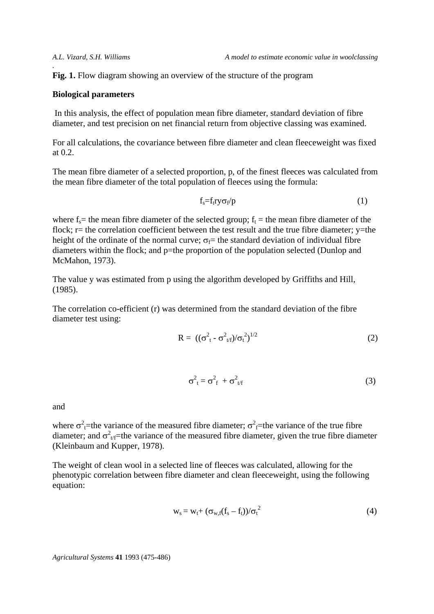Fig. 1. Flow diagram showing an overview of the structure of the program

#### **Biological parameters**

 In this analysis, the effect of population mean fibre diameter, standard deviation of fibre diameter, and test precision on net financial return from objective classing was examined.

For all calculations, the covariance between fibre diameter and clean fleeceweight was fixed at  $0.2$ .

The mean fibre diameter of a selected proportion, p, of the finest fleeces was calculated from the mean fibre diameter of the total population of fleeces using the formula:

$$
f_s = f_t r y \sigma_f / p \tag{1}
$$

where  $f_s$  = the mean fibre diameter of the selected group;  $f_t$  = the mean fibre diameter of the flock;  $r=$  the correlation coefficient between the test result and the true fibre diameter;  $v=$  the height of the ordinate of the normal curve;  $\sigma_f$  the standard deviation of individual fibre diameters within the flock; and p=the proportion of the population selected (Dunlop and McMahon, 1973).

The value y was estimated from p using the algorithm developed by Griffiths and Hill, (1985).

The correlation co-efficient (r) was determined from the standard deviation of the fibre diameter test using:

$$
R = ((\sigma_{t}^{2} - \sigma_{t/f}^{2})/\sigma_{t}^{2})^{1/2}
$$
 (2)

$$
\sigma_{t}^{2} = \sigma_{f}^{2} + \sigma_{t/f}^{2}
$$
 (3)

and

where  $\sigma^2$ <sub>t</sub>=the variance of the measured fibre diameter;  $\sigma^2$ <sub>f</sub>=the variance of the true fibre diameter; and  $\sigma_{\nu}^2$ -the variance of the measured fibre diameter, given the true fibre diameter (Kleinbaum and Kupper, 1978).

The weight of clean wool in a selected line of fleeces was calculated, allowing for the phenotypic correlation between fibre diameter and clean fleeceweight, using the following equation:

$$
w_s = w_t + (\sigma_{w,f}(f_s - f_t))/\sigma_t^2
$$
\n(4)

*Agricultural Systems* **41** 1993 (475-486)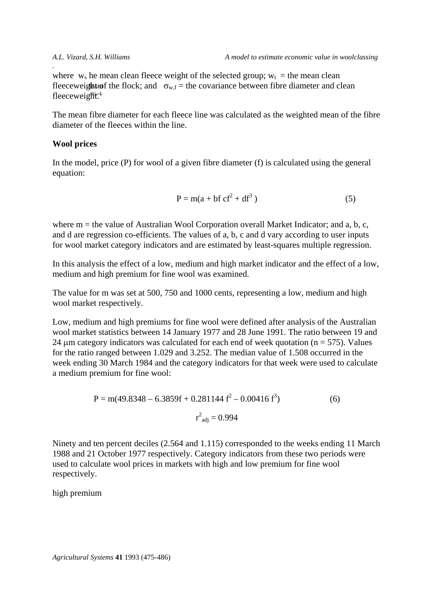fleeceweight the flock; and  $\sigma_{w,f}$  = the covariance between fibre diameter and clean fleeceweight.<sup>1</sup> where  $w_s$  he mean clean fleece weight of the selected group;  $w_t$  = the mean clean

The mean fibre diameter for each fleece line was calculated as the weighted mean of the fibre diameter of the fleeces within the line.

#### **Wool prices**

*.* 

In the model, price (P) for wool of a given fibre diameter (f) is calculated using the general equation:

$$
P = m(a + bf cf2 + df3)
$$
 (5)

where  $m =$  the value of Australian Wool Corporation overall Market Indicator; and a, b, c, and d are regression co-efficients. The values of a, b, c and d vary according to user inputs for wool market category indicators and are estimated by least-squares multiple regression.

In this analysis the effect of a low, medium and high market indicator and the effect of a low, medium and high premium for fine wool was examined.

The value for m was set at 500, 750 and 1000 cents, representing a low, medium and high wool market respectively.

Low, medium and high premiums for fine wool were defined after analysis of the Australian wool market statistics between 14 January 1977 and 28 June 1991. The ratio between 19 and 24 μm category indicators was calculated for each end of week quotation ( $n = 575$ ). Values for the ratio ranged between 1.029 and 3.252. The median value of 1.508 occurred in the week ending 30 March 1984 and the category indicators for that week were used to calculate a medium premium for fine wool:

$$
P = m(49.8348 - 6.3859f + 0.281144 f2 - 0.00416 f3)
$$
 (6)  

$$
r2_{adj} = 0.994
$$

Ninety and ten percent deciles (2.564 and 1.115) corresponded to the weeks ending 11 March 1988 and 21 October 1977 respectively. Category indicators from these two periods were used to calculate wool prices in markets with high and low premium for fine wool respectively.

high premium

*Agricultural Systems* **41** 1993 (475-486)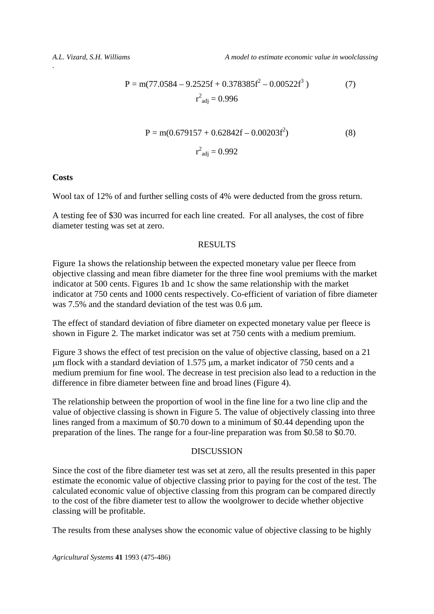$$
P = m(77.0584 - 9.2525f + 0.378385f^{2} - 0.00522f^{3})
$$
\n
$$
r^{2}_{\text{adj}} = 0.996
$$
\n(7)

$$
P = m(0.679157 + 0.62842f - 0.00203f^{2})
$$
\n
$$
r^{2}_{\text{adj}} = 0.992
$$
\n(8)

**Costs**

*.* 

Wool tax of 12% of and further selling costs of 4% were deducted from the gross return.

A testing fee of \$30 was incurred for each line created. For all analyses, the cost of fibre diameter testing was set at zero.

### RESULTS

Figure 1a shows the relationship between the expected monetary value per fleece from objective classing and mean fibre diameter for the three fine wool premiums with the market indicator at 500 cents. Figures 1b and 1c show the same relationship with the market indicator at 750 cents and 1000 cents respectively. Co-efficient of variation of fibre diameter was 7.5% and the standard deviation of the test was 0.6 μm.

The effect of standard deviation of fibre diameter on expected monetary value per fleece is shown in Figure 2. The market indicator was set at 750 cents with a medium premium.

Figure 3 shows the effect of test precision on the value of objective classing, based on a 21 μm flock with a standard deviation of 1.575 μm, a market indicator of 750 cents and a medium premium for fine wool. The decrease in test precision also lead to a reduction in the difference in fibre diameter between fine and broad lines (Figure 4).

The relationship between the proportion of wool in the fine line for a two line clip and the value of objective classing is shown in Figure 5. The value of objectively classing into three lines ranged from a maximum of \$0.70 down to a minimum of \$0.44 depending upon the preparation of the lines. The range for a four-line preparation was from \$0.58 to \$0.70.

#### DISCUSSION

Since the cost of the fibre diameter test was set at zero, all the results presented in this paper estimate the economic value of objective classing prior to paying for the cost of the test. The calculated economic value of objective classing from this program can be compared directly to the cost of the fibre diameter test to allow the woolgrower to decide whether objective classing will be profitable.

The results from these analyses show the economic value of objective classing to be highly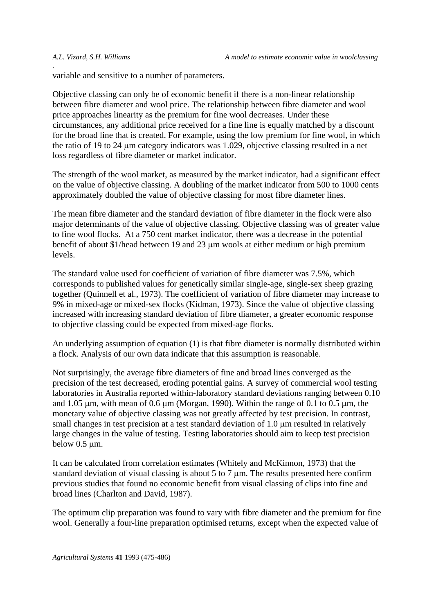variable and sensitive to a number of parameters.

Objective classing can only be of economic benefit if there is a non-linear relationship between fibre diameter and wool price. The relationship between fibre diameter and wool price approaches linearity as the premium for fine wool decreases. Under these circumstances, any additional price received for a fine line is equally matched by a discount for the broad line that is created. For example, using the low premium for fine wool, in which the ratio of 19 to 24 μm category indicators was 1.029, objective classing resulted in a net loss regardless of fibre diameter or market indicator.

The strength of the wool market, as measured by the market indicator, had a significant effect on the value of objective classing. A doubling of the market indicator from 500 to 1000 cents approximately doubled the value of objective classing for most fibre diameter lines.

The mean fibre diameter and the standard deviation of fibre diameter in the flock were also major determinants of the value of objective classing. Objective classing was of greater value to fine wool flocks. At a 750 cent market indicator, there was a decrease in the potential benefit of about \$1/head between 19 and 23 μm wools at either medium or high premium levels.

The standard value used for coefficient of variation of fibre diameter was 7.5%, which corresponds to published values for genetically similar single-age, single-sex sheep grazing together (Quinnell et al., 1973). The coefficient of variation of fibre diameter may increase to 9% in mixed-age or mixed-sex flocks (Kidman, 1973). Since the value of objective classing increased with increasing standard deviation of fibre diameter, a greater economic response to objective classing could be expected from mixed-age flocks.

An underlying assumption of equation (1) is that fibre diameter is normally distributed within a flock. Analysis of our own data indicate that this assumption is reasonable.

Not surprisingly, the average fibre diameters of fine and broad lines converged as the precision of the test decreased, eroding potential gains. A survey of commercial wool testing laboratories in Australia reported within-laboratory standard deviations ranging between 0.10 and 1.05 μm, with mean of 0.6 μm (Morgan, 1990). Within the range of 0.1 to 0.5 μm, the monetary value of objective classing was not greatly affected by test precision. In contrast, small changes in test precision at a test standard deviation of 1.0 μm resulted in relatively large changes in the value of testing. Testing laboratories should aim to keep test precision below 0.5 μm.

It can be calculated from correlation estimates (Whitely and McKinnon, 1973) that the standard deviation of visual classing is about 5 to 7 μm. The results presented here confirm previous studies that found no economic benefit from visual classing of clips into fine and broad lines (Charlton and David, 1987).

The optimum clip preparation was found to vary with fibre diameter and the premium for fine wool. Generally a four-line preparation optimised returns, except when the expected value of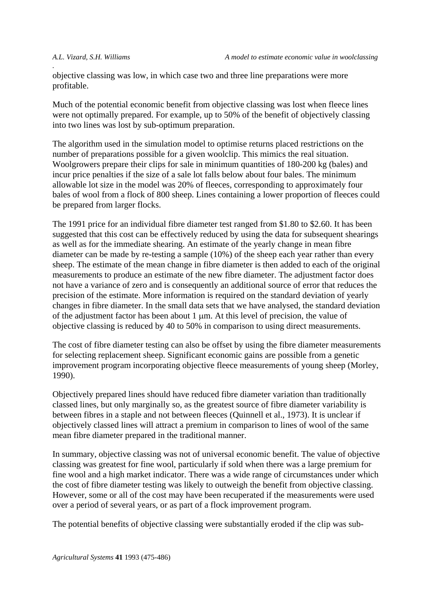objective classing was low, in which case two and three line preparations were more profitable.

Much of the potential economic benefit from objective classing was lost when fleece lines were not optimally prepared. For example, up to 50% of the benefit of objectively classing into two lines was lost by sub-optimum preparation.

The algorithm used in the simulation model to optimise returns placed restrictions on the number of preparations possible for a given woolclip. This mimics the real situation. Woolgrowers prepare their clips for sale in minimum quantities of 180-200 kg (bales) and incur price penalties if the size of a sale lot falls below about four bales. The minimum allowable lot size in the model was 20% of fleeces, corresponding to approximately four bales of wool from a flock of 800 sheep. Lines containing a lower proportion of fleeces could be prepared from larger flocks.

The 1991 price for an individual fibre diameter test ranged from \$1.80 to \$2.60. It has been suggested that this cost can be effectively reduced by using the data for subsequent shearings as well as for the immediate shearing. An estimate of the yearly change in mean fibre diameter can be made by re-testing a sample (10%) of the sheep each year rather than every sheep. The estimate of the mean change in fibre diameter is then added to each of the original measurements to produce an estimate of the new fibre diameter. The adjustment factor does not have a variance of zero and is consequently an additional source of error that reduces the precision of the estimate. More information is required on the standard deviation of yearly changes in fibre diameter. In the small data sets that we have analysed, the standard deviation of the adjustment factor has been about 1 μm. At this level of precision, the value of objective classing is reduced by 40 to 50% in comparison to using direct measurements.

The cost of fibre diameter testing can also be offset by using the fibre diameter measurements for selecting replacement sheep. Significant economic gains are possible from a genetic improvement program incorporating objective fleece measurements of young sheep (Morley, 1990).

Objectively prepared lines should have reduced fibre diameter variation than traditionally classed lines, but only marginally so, as the greatest source of fibre diameter variability is between fibres in a staple and not between fleeces (Quinnell et al., 1973). It is unclear if objectively classed lines will attract a premium in comparison to lines of wool of the same mean fibre diameter prepared in the traditional manner.

In summary, objective classing was not of universal economic benefit. The value of objective classing was greatest for fine wool, particularly if sold when there was a large premium for fine wool and a high market indicator. There was a wide range of circumstances under which the cost of fibre diameter testing was likely to outweigh the benefit from objective classing. However, some or all of the cost may have been recuperated if the measurements were used over a period of several years, or as part of a flock improvement program.

The potential benefits of objective classing were substantially eroded if the clip was sub-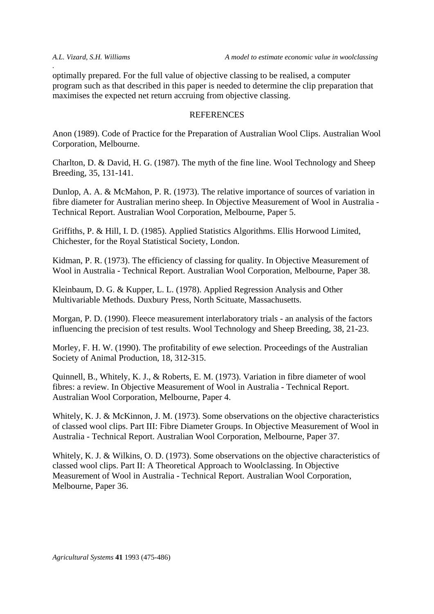optimally prepared. For the full value of objective classing to be realised, a computer program such as that described in this paper is needed to determine the clip preparation that maximises the expected net return accruing from objective classing.

### **REFERENCES**

Anon (1989). Code of Practice for the Preparation of Australian Wool Clips. Australian Wool Corporation, Melbourne.

Charlton, D. & David, H. G. (1987). The myth of the fine line. Wool Technology and Sheep Breeding, 35, 131-141.

Dunlop, A. A. & McMahon, P. R. (1973). The relative importance of sources of variation in fibre diameter for Australian merino sheep. In Objective Measurement of Wool in Australia - Technical Report. Australian Wool Corporation, Melbourne, Paper 5.

Griffiths, P. & Hill, I. D. (1985). Applied Statistics Algorithms. Ellis Horwood Limited, Chichester, for the Royal Statistical Society, London.

Kidman, P. R. (1973). The efficiency of classing for quality. In Objective Measurement of Wool in Australia - Technical Report. Australian Wool Corporation, Melbourne, Paper 38.

Kleinbaum, D. G. & Kupper, L. L. (1978). Applied Regression Analysis and Other Multivariable Methods. Duxbury Press, North Scituate, Massachusetts.

Morgan, P. D. (1990). Fleece measurement interlaboratory trials - an analysis of the factors influencing the precision of test results. Wool Technology and Sheep Breeding, 38, 21-23.

Morley, F. H. W. (1990). The profitability of ewe selection. Proceedings of the Australian Society of Animal Production, 18, 312-315.

Quinnell, B., Whitely, K. J., & Roberts, E. M. (1973). Variation in fibre diameter of wool fibres: a review. In Objective Measurement of Wool in Australia - Technical Report. Australian Wool Corporation, Melbourne, Paper 4.

Whitely, K. J. & McKinnon, J. M. (1973). Some observations on the objective characteristics of classed wool clips. Part III: Fibre Diameter Groups. In Objective Measurement of Wool in Australia - Technical Report. Australian Wool Corporation, Melbourne, Paper 37.

Whitely, K. J. & Wilkins, O. D. (1973). Some observations on the objective characteristics of classed wool clips. Part II: A Theoretical Approach to Woolclassing. In Objective Measurement of Wool in Australia - Technical Report. Australian Wool Corporation, Melbourne, Paper 36.